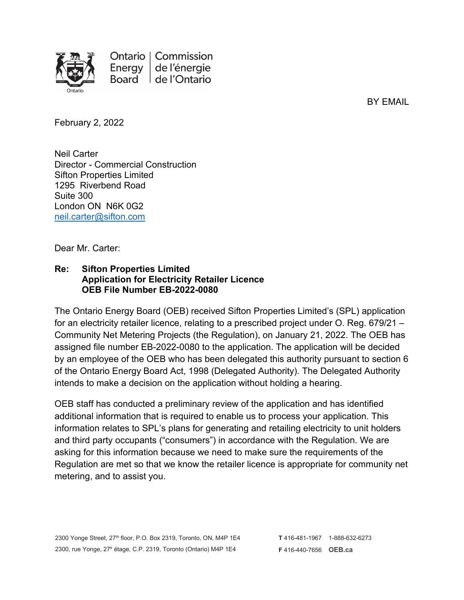

Ontario | Commission de l'énergie Energy Board | de l'Ontario

BY EMAIL

February 2, 2022

Neil Carter Director - Commercial Construction Sifton Properties Limited 1295 Riverbend Road Suite 300 London ON N6K 0G2 [neil.carter@sifton.com](mailto:neil.carter@sifton.com)

Dear Mr. Carter:

## **Re: Sifton Properties Limited Application for Electricity Retailer Licence OEB File Number EB-2022-0080**

The Ontario Energy Board (OEB) received Sifton Properties Limited's (SPL) application for an electricity retailer licence, relating to a prescribed project under O. Reg. 679/21 – Community Net Metering Projects (the Regulation), on January 21, 2022. The OEB has assigned file number EB-2022-0080 to the application. The application will be decided by an employee of the OEB who has been delegated this authority pursuant to section 6 of the Ontario Energy Board Act, 1998 (Delegated Authority). The Delegated Authority intends to make a decision on the application without holding a hearing.

OEB staff has conducted a preliminary review of the application and has identified additional information that is required to enable us to process your application. This information relates to SPL's plans for generating and retailing electricity to unit holders and third party occupants ("consumers") in accordance with the Regulation. We are asking for this information because we need to make sure the requirements of the Regulation are met so that we know the retailer licence is appropriate for community net metering, and to assist you.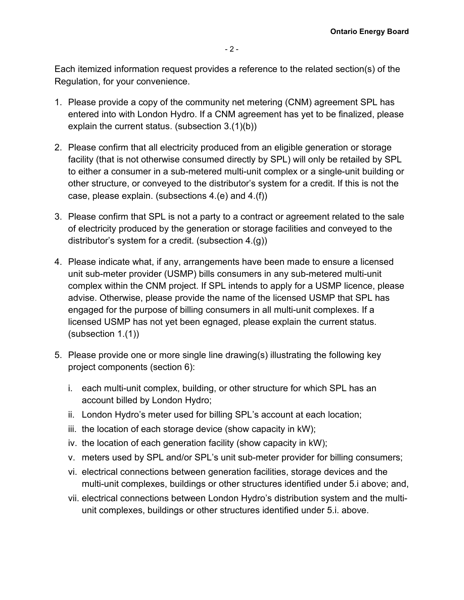Each itemized information request provides a reference to the related section(s) of the Regulation, for your convenience.

- 1. Please provide a copy of the community net metering (CNM) agreement SPL has entered into with London Hydro. If a CNM agreement has yet to be finalized, please explain the current status. (subsection 3.(1)(b))
- 2. Please confirm that all electricity produced from an eligible generation or storage facility (that is not otherwise consumed directly by SPL) will only be retailed by SPL to either a consumer in a sub-metered multi-unit complex or a single-unit building or other structure, or conveyed to the distributor's system for a credit. If this is not the case, please explain. (subsections 4.(e) and 4.(f))
- 3. Please confirm that SPL is not a party to a contract or agreement related to the sale of electricity produced by the generation or storage facilities and conveyed to the distributor's system for a credit. (subsection 4.(g))
- 4. Please indicate what, if any, arrangements have been made to ensure a licensed unit sub-meter provider (USMP) bills consumers in any sub-metered multi-unit complex within the CNM project. If SPL intends to apply for a USMP licence, please advise. Otherwise, please provide the name of the licensed USMP that SPL has engaged for the purpose of billing consumers in all multi-unit complexes. If a licensed USMP has not yet been egnaged, please explain the current status. (subsection 1.(1))
- 5. Please provide one or more single line drawing(s) illustrating the following key project components (section 6):
	- i. each multi-unit complex, building, or other structure for which SPL has an account billed by London Hydro;
	- ii. London Hydro's meter used for billing SPL's account at each location;
	- iii. the location of each storage device (show capacity in kW);
	- iv. the location of each generation facility (show capacity in kW);
	- v. meters used by SPL and/or SPL's unit sub-meter provider for billing consumers;
	- vi. electrical connections between generation facilities, storage devices and the multi-unit complexes, buildings or other structures identified under 5.i above; and,
	- vii. electrical connections between London Hydro's distribution system and the multiunit complexes, buildings or other structures identified under 5.i. above.